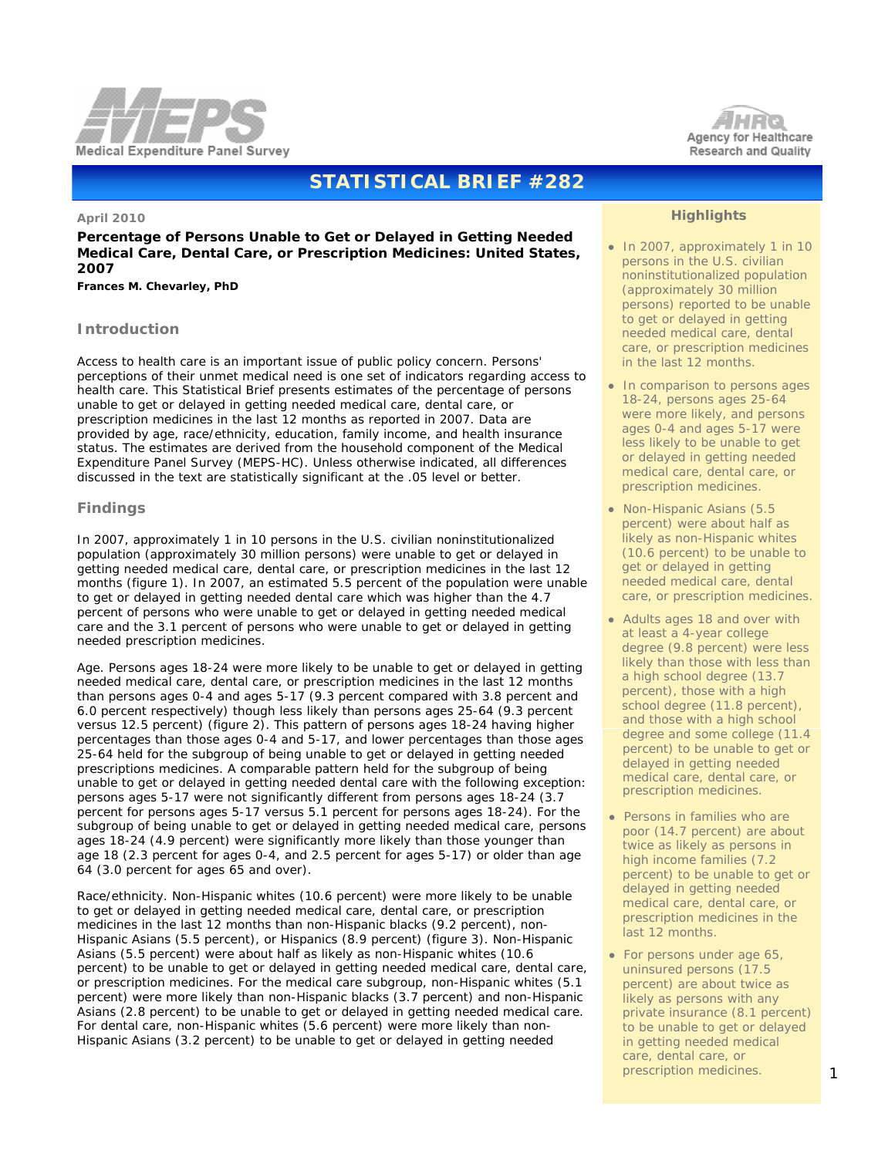



# **STATISTICAL BRIEF #282**

#### **April 2010**

**Percentage of Persons Unable to Get or Delayed in Getting Needed Medical Care, Dental Care, or Prescription Medicines: United States, 2007**

*Frances M. Chevarley, PhD*

## **Introduction**

Access to health care is an important issue of public policy concern. Persons' perceptions of their unmet medical need is one set of indicators regarding access to health care. This Statistical Brief presents estimates of the percentage of persons unable to get or delayed in getting needed medical care, dental care, or prescription medicines in the last 12 months as reported in 2007. Data are provided by age, race/ethnicity, education, family income, and health insurance status. The estimates are derived from the household component of the Medical Expenditure Panel Survey (MEPS-HC). Unless otherwise indicated, all differences discussed in the text are statistically significant at the .05 level or better.

## **Findings**

In 2007, approximately 1 in 10 persons in the U.S. civilian noninstitutionalized population (approximately 30 million persons) were unable to get or delayed in getting needed medical care, dental care, or prescription medicines in the last 12 months (figure 1). In 2007, an estimated 5.5 percent of the population were unable to get or delayed in getting needed dental care which was higher than the 4.7 percent of persons who were unable to get or delayed in getting needed medical care and the 3.1 percent of persons who were unable to get or delayed in getting needed prescription medicines.

*Age*. Persons ages 18-24 were more likely to be unable to get or delayed in getting needed medical care, dental care, or prescription medicines in the last 12 months than persons ages 0-4 and ages 5-17 (9.3 percent compared with 3.8 percent and 6.0 percent respectively) though less likely than persons ages 25-64 (9.3 percent versus 12.5 percent) (figure 2). This pattern of persons ages 18-24 having higher percentages than those ages 0-4 and 5-17, and lower percentages than those ages 25-64 held for the subgroup of being unable to get or delayed in getting needed prescriptions medicines. A comparable pattern held for the subgroup of being unable to get or delayed in getting needed dental care with the following exception: persons ages 5-17 were not significantly different from persons ages 18-24 (3.7 percent for persons ages 5-17 versus 5.1 percent for persons ages 18-24). For the subgroup of being unable to get or delayed in getting needed medical care, persons ages 18-24 (4.9 percent) were significantly more likely than those younger than age 18 (2.3 percent for ages 0-4, and 2.5 percent for ages 5-17) or older than age 64 (3.0 percent for ages 65 and over).

*Race/ethnicity*. Non-Hispanic whites (10.6 percent) were more likely to be unable to get or delayed in getting needed medical care, dental care, or prescription medicines in the last 12 months than non-Hispanic blacks (9.2 percent), non-Hispanic Asians (5.5 percent), or Hispanics (8.9 percent) (figure 3). Non-Hispanic Asians (5.5 percent) were about half as likely as non-Hispanic whites (10.6 percent) to be unable to get or delayed in getting needed medical care, dental care, or prescription medicines. For the medical care subgroup, non-Hispanic whites (5.1 percent) were more likely than non-Hispanic blacks (3.7 percent) and non-Hispanic Asians (2.8 percent) to be unable to get or delayed in getting needed medical care. For dental care, non-Hispanic whites (5.6 percent) were more likely than non-Hispanic Asians (3.2 percent) to be unable to get or delayed in getting needed

## **Highlights**

- In 2007, approximately 1 in 10 persons in the U.S. civilian noninstitutionalized population (approximately 30 million persons) reported to be unable to get or delayed in getting needed medical care, dental care, or prescription medicines in the last 12 months.
- In comparison to persons ages 18-24, persons ages 25-64 were more likely, and persons ages 0-4 and ages 5-17 were less likely to be unable to get or delayed in getting needed medical care, dental care, or prescription medicines.
- Non-Hispanic Asians (5.5 percent) were about half as likely as non-Hispanic whites (10.6 percent) to be unable to get or delayed in getting needed medical care, dental care, or prescription medicines.
- Adults ages 18 and over with at least a 4-year college degree (9.8 percent) were less likely than those with less than a high school degree (13.7 percent), those with a high school degree (11.8 percent), and those with a high school degree and some college (11.4 percent) to be unable to get or delayed in getting needed medical care, dental care, or prescription medicines.
- Persons in families who are poor (14.7 percent) are about twice as likely as persons in high income families (7.2 percent) to be unable to get or delayed in getting needed medical care, dental care, or prescription medicines in the last 12 months.
- For persons under age 65, uninsured persons (17.5 percent) are about twice as likely as persons with any private insurance (8.1 percent) to be unable to get or delayed in getting needed medical care, dental care, or prescription medicines.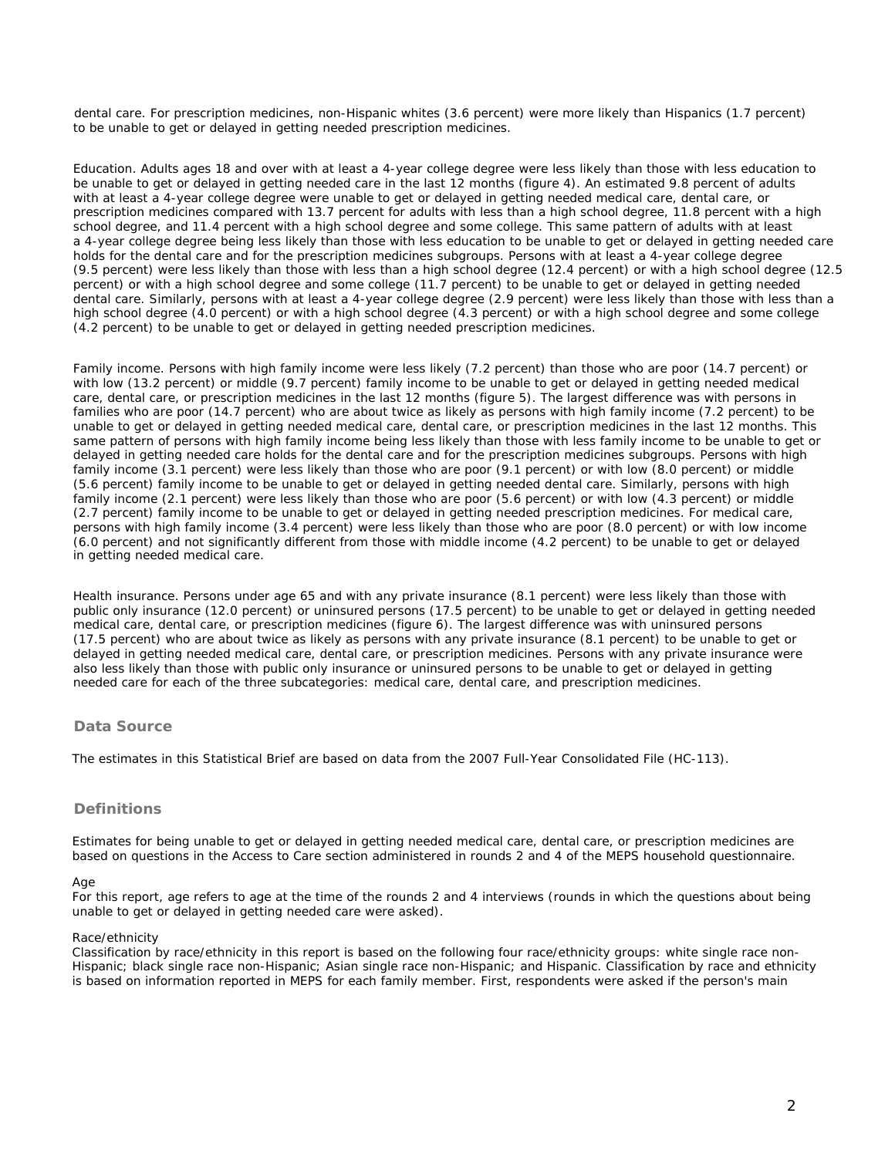dental care. For prescription medicines, non-Hispanic whites (3.6 percent) were more likely than Hispanics (1.7 percent) to be unable to get or delayed in getting needed prescription medicines.

*Education*. Adults ages 18 and over with at least a 4-year college degree were less likely than those with less education to be unable to get or delayed in getting needed care in the last 12 months (figure 4). An estimated 9.8 percent of adults with at least a 4-year college degree were unable to get or delayed in getting needed medical care, dental care, or prescription medicines compared with 13.7 percent for adults with less than a high school degree, 11.8 percent with a high school degree, and 11.4 percent with a high school degree and some college. This same pattern of adults with at least a 4-year college degree being less likely than those with less education to be unable to get or delayed in getting needed care holds for the dental care and for the prescription medicines subgroups. Persons with at least a 4-year college degree (9.5 percent) were less likely than those with less than a high school degree (12.4 percent) or with a high school degree (12.5 percent) or with a high school degree and some college (11.7 percent) to be unable to get or delayed in getting needed dental care. Similarly, persons with at least a 4-year college degree (2.9 percent) were less likely than those with less than a high school degree (4.0 percent) or with a high school degree (4.3 percent) or with a high school degree and some college (4.2 percent) to be unable to get or delayed in getting needed prescription medicines.

*Family income*. Persons with high family income were less likely (7.2 percent) than those who are poor (14.7 percent) or with low (13.2 percent) or middle (9.7 percent) family income to be unable to get or delayed in getting needed medical care, dental care, or prescription medicines in the last 12 months (figure 5). The largest difference was with persons in families who are poor (14.7 percent) who are about twice as likely as persons with high family income (7.2 percent) to be unable to get or delayed in getting needed medical care, dental care, or prescription medicines in the last 12 months. This same pattern of persons with high family income being less likely than those with less family income to be unable to get or delayed in getting needed care holds for the dental care and for the prescription medicines subgroups. Persons with high family income (3.1 percent) were less likely than those who are poor (9.1 percent) or with low (8.0 percent) or middle (5.6 percent) family income to be unable to get or delayed in getting needed dental care. Similarly, persons with high family income (2.1 percent) were less likely than those who are poor (5.6 percent) or with low (4.3 percent) or middle (2.7 percent) family income to be unable to get or delayed in getting needed prescription medicines. For medical care, persons with high family income (3.4 percent) were less likely than those who are poor (8.0 percent) or with low income (6.0 percent) and not significantly different from those with middle income (4.2 percent) to be unable to get or delayed in getting needed medical care.

*Health insurance*. Persons under age 65 and with any private insurance (8.1 percent) were less likely than those with public only insurance (12.0 percent) or uninsured persons (17.5 percent) to be unable to get or delayed in getting needed medical care, dental care, or prescription medicines (figure 6). The largest difference was with uninsured persons (17.5 percent) who are about twice as likely as persons with any private insurance (8.1 percent) to be unable to get or delayed in getting needed medical care, dental care, or prescription medicines. Persons with any private insurance were also less likely than those with public only insurance or uninsured persons to be unable to get or delayed in getting needed care for each of the three subcategories: medical care, dental care, and prescription medicines.

## **Data Source**

The estimates in this Statistical Brief are based on data from the 2007 Full-Year Consolidated File (HC-113).

## **Definitions**

Estimates for being unable to get or delayed in getting needed medical care, dental care, or prescription medicines are based on questions in the Access to Care section administered in rounds 2 and 4 of the MEPS household questionnaire.

## *Age*

For this report, age refers to age at the time of the rounds 2 and 4 interviews (rounds in which the questions about being unable to get or delayed in getting needed care were asked).

## *Race/ethnicity*

Classification by race/ethnicity in this report is based on the following four race/ethnicity groups: white single race non-Hispanic; black single race non-Hispanic; Asian single race non-Hispanic; and Hispanic. Classification by race and ethnicity is based on information reported in MEPS for each family member. First, respondents were asked if the person's main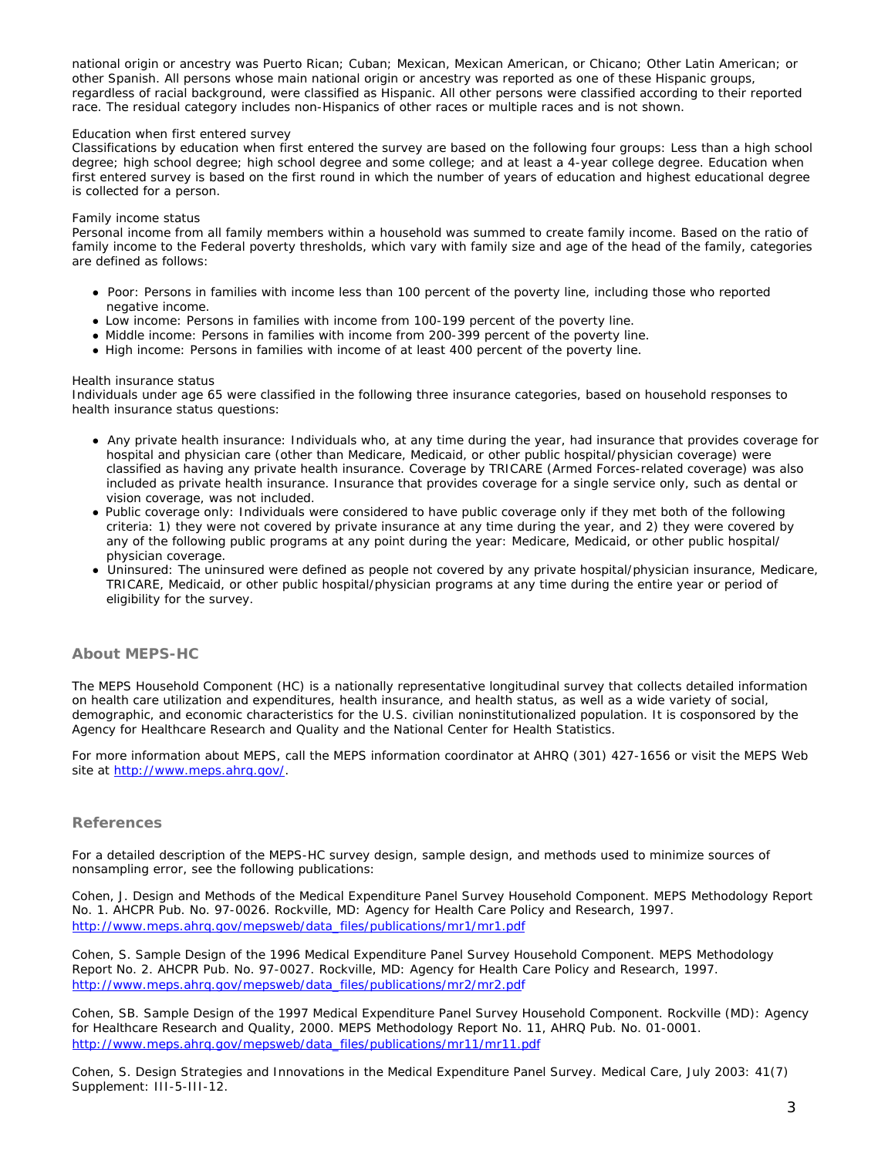national origin or ancestry was Puerto Rican; Cuban; Mexican, Mexican American, or Chicano; Other Latin American; or other Spanish. All persons whose main national origin or ancestry was reported as one of these Hispanic groups, regardless of racial background, were classified as Hispanic. All other persons were classified according to their reported race. The residual category includes non-Hispanics of other races or multiple races and is not shown.

### *Education when first entered survey*

Classifications by education when first entered the survey are based on the following four groups: Less than a high school degree; high school degree; high school degree and some college; and at least a 4-year college degree. Education when first entered survey is based on the first round in which the number of years of education and highest educational degree is collected for a person.

## *Family income status*

Personal income from all family members within a household was summed to create family income. Based on the ratio of family income to the Federal poverty thresholds, which vary with family size and age of the head of the family, categories are defined as follows:

- *Poor*: Persons in families with income less than 100 percent of the poverty line, including those who reported negative income.
- *Low income*: Persons in families with income from 100-199 percent of the poverty line.
- *Middle income*: Persons in families with income from 200-399 percent of the poverty line.
- *High income*: Persons in families with income of at least 400 percent of the poverty line.

#### *Health insurance status*

Individuals under age 65 were classified in the following three insurance categories, based on household responses to health insurance status questions:

- *Any private health insurance*: Individuals who, at any time during the year, had insurance that provides coverage for hospital and physician care (other than Medicare, Medicaid, or other public hospital/physician coverage) were classified as having any private health insurance. Coverage by TRICARE (Armed Forces-related coverage) was also included as private health insurance. Insurance that provides coverage for a single service only, such as dental or vision coverage, was not included.
- *Public coverage only*: Individuals were considered to have public coverage only if they met both of the following criteria: 1) they were not covered by private insurance at any time during the year, and 2) they were covered by any of the following public programs at any point during the year: Medicare, Medicaid, or other public hospital/ physician coverage.
- *Uninsured*: The uninsured were defined as people not covered by any private hospital/physician insurance, Medicare, TRICARE, Medicaid, or other public hospital/physician programs at any time during the entire year or period of eligibility for the survey.

# **About MEPS-HC**

The MEPS Household Component (HC) is a nationally representative longitudinal survey that collects detailed information on health care utilization and expenditures, health insurance, and health status, as well as a wide variety of social, demographic, and economic characteristics for the U.S. civilian noninstitutionalized population. It is cosponsored by the Agency for Healthcare Research and Quality and the National Center for Health Statistics.

For more information about MEPS, call the MEPS information coordinator at AHRQ (301) 427-1656 or visit the MEPS Web site at <http://www.meps.ahrq.gov/>.

## **References**

For a detailed description of the MEPS-HC survey design, sample design, and methods used to minimize sources of nonsampling error, see the following publications:

Cohen, J. *Design and Methods of the Medical Expenditure Panel Survey Household Component*. MEPS Methodology Report No. 1. AHCPR Pub. No. 97-0026. Rockville, MD: Agency for Health Care Policy and Research, 1997. http://www.meps.[ahrq.gov/mepsweb/data\\_files/publications/mr1/mr1.pdf](http://www.meps.ahrq.gov/mepsweb/data_files/publications/mr1/mr1.pdf) 

Cohen, S. *Sample Design of the 1996 Medical Expenditure Panel Survey Household Component*. MEPS Methodology Report No. 2. AHCPR Pub. No. 97-0027. Rockville, MD: Agency for Health Care Policy and Research, 1997. http://www.[meps.ahrq.gov/mepsweb/data\\_files/publications/mr2/mr2.pdf](http://www.meps.ahrq.gov/mepsweb/data_files/publications/mr2/mr2.pdf) 

Cohen, SB. *Sample Design of the 1997 Medical Expenditure Panel Survey Household Component*. Rockville (MD): Agency for Healthcare Research and Quality, 2000. MEPS Methodology Report No. 11, AHRQ Pub. No. 01-0001. http://www.meps.[ahrq.gov/mepsweb/data\\_files/publications/mr11/mr11.pdf](http://www.meps.ahrq.gov/mepsweb/data_files/publications/mr11/mr11.pdf) 

Cohen, S. Design Strategies and Innovations in the Medical Expenditure Panel Survey. *Medical Care*, July 2003: 41(7) Supplement: III-5-III-12.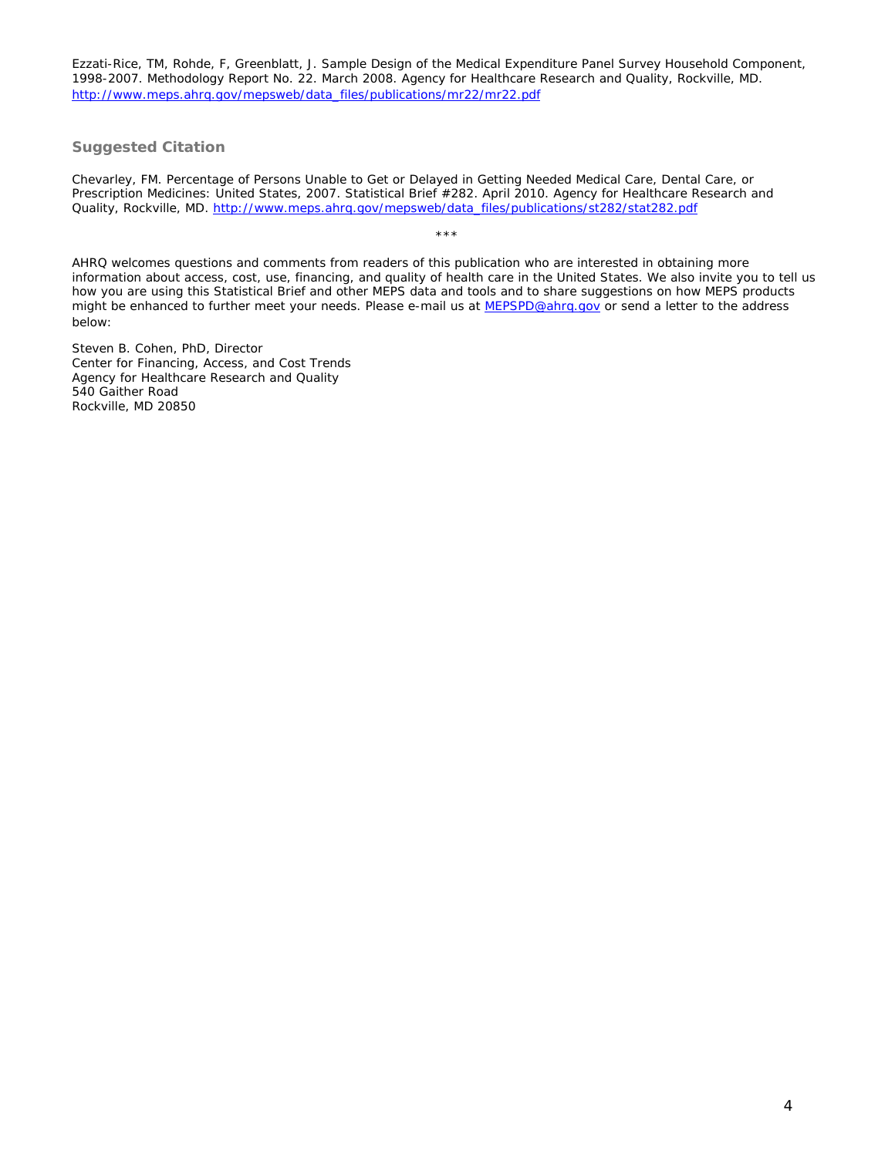Ezzati-Rice, TM, Rohde, F, Greenblatt, J. *Sample Design of the Medical Expenditure Panel Survey Household Component, 1998-2007*. Methodology Report No. 22. March 2008. Agency for Healthcare Research and Quality, Rockville, MD. http://[www.meps.ahrq.gov/mepsweb/data\\_files/publications/mr22/mr22.pdf](http://www.meps.ahrq.gov/mepsweb/data_files/publications/mr22/mr22.pdf) 

# **Suggested Citation**

Chevarley, FM. *Percentage of Persons Unable to Get or Delayed in Getting Needed Medical Care, Dental Care, or Prescription Medicines: United States, 2007*. Statistical Brief #282. April 2010. Agency for Healthcare Research and Quality, Rockville, MD. [http://www.meps.ahrq.gov/mepsweb/data\\_files/publications/st282/stat282.pdf](http://www.meps.ahrq.gov/mepsweb/data_files/publications/st282/stat282.pdf)

AHRQ welcomes questions and comments from readers of this publication who are interested in obtaining more information about access, cost, use, financing, and quality of health care in the United States. We also invite you to tell us how you are using this Statistical Brief and other MEPS data and tools and to share suggestions on how MEPS products might be enhanced to further meet your needs. Please e-mail us at [MEPSPD@ahrq.gov](mailto:MEPSPD@ahrq.gov) or send a letter to the address below:

\*\*\*

Steven B. Cohen, PhD, Director Center for Financing, Access, and Cost Trends Agency for Healthcare Research and Quality 540 Gaither Road Rockville, MD 20850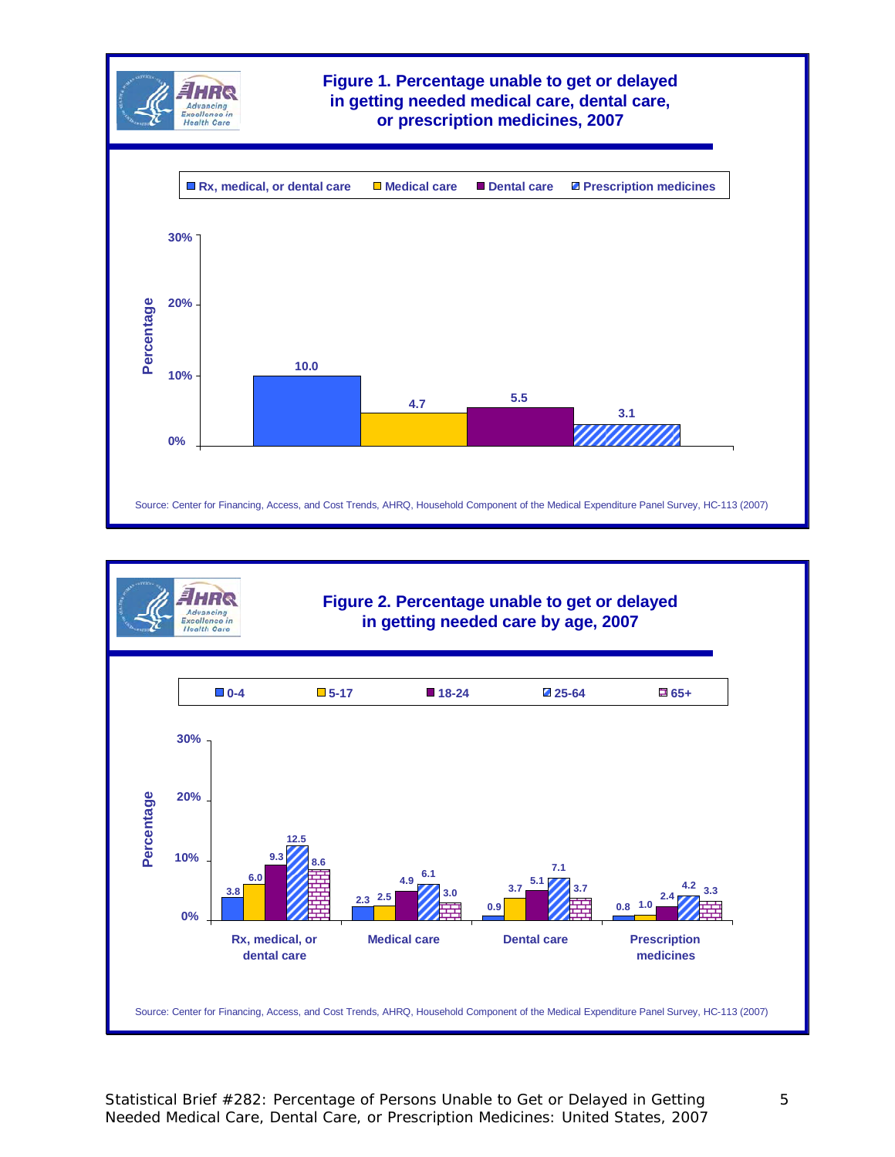



Statistical Brief #282: Percentage of Persons Unable to Get or Delayed in Getting Needed Medical Care, Dental Care, or Prescription Medicines: United States, 2007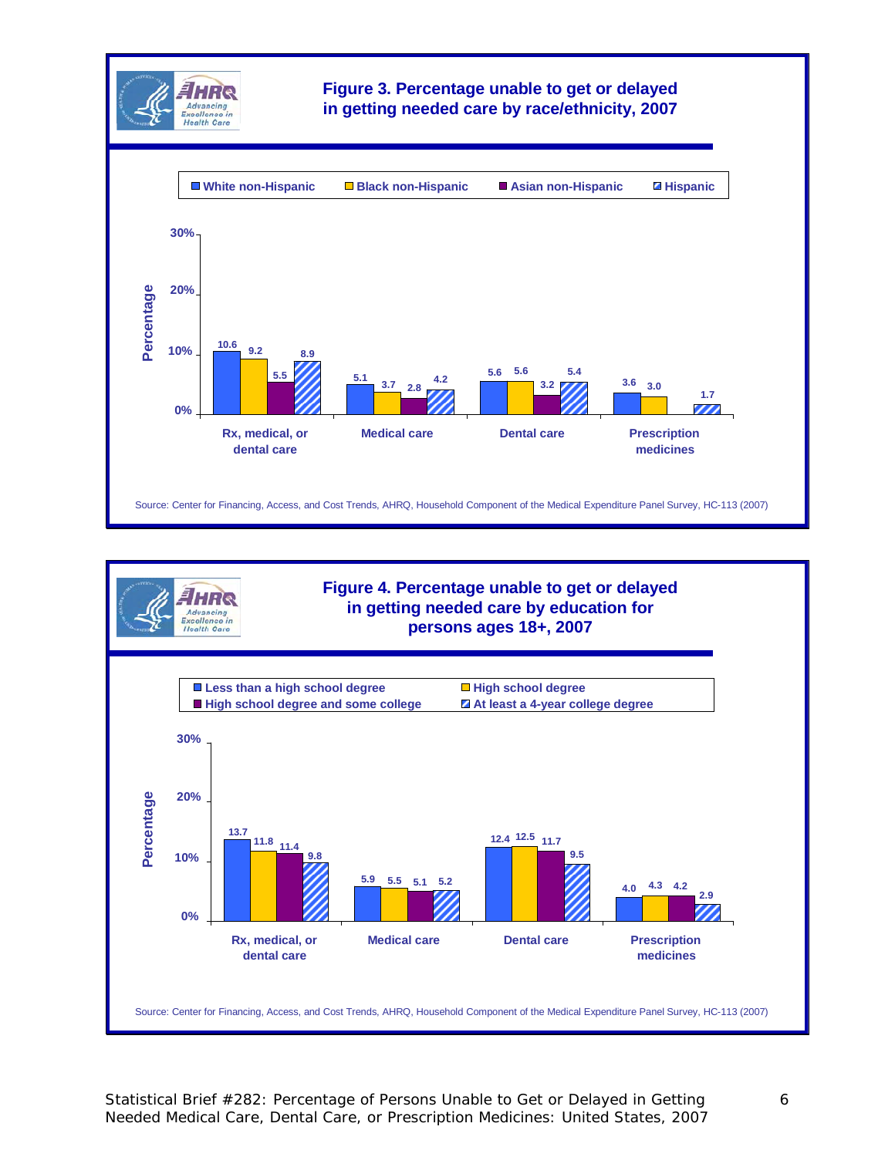